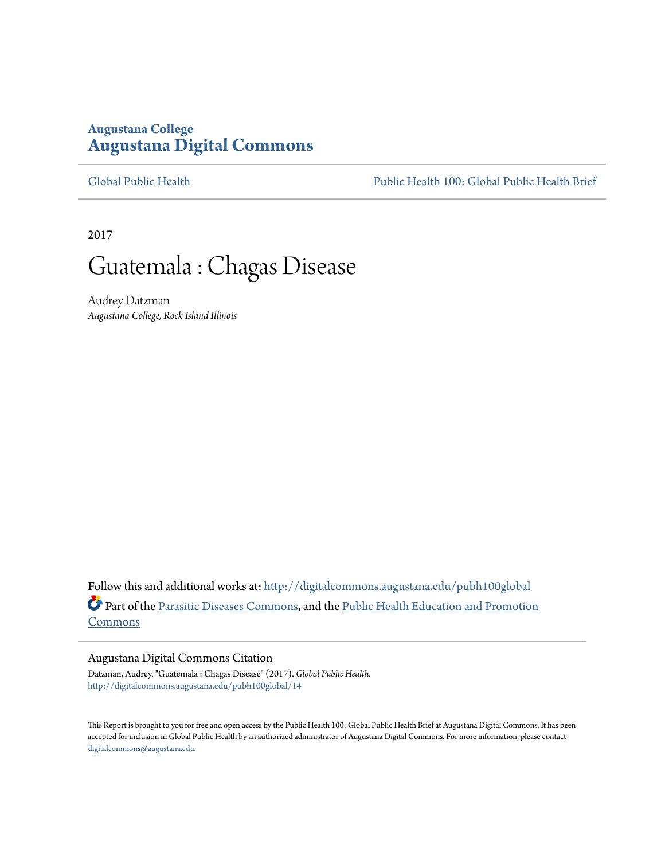### **Augustana College [Augustana Digital Commons](http://digitalcommons.augustana.edu?utm_source=digitalcommons.augustana.edu%2Fpubh100global%2F14&utm_medium=PDF&utm_campaign=PDFCoverPages)**

[Global Public Health](http://digitalcommons.augustana.edu/pubh100global?utm_source=digitalcommons.augustana.edu%2Fpubh100global%2F14&utm_medium=PDF&utm_campaign=PDFCoverPages) [Public Health 100: Global Public Health Brief](http://digitalcommons.augustana.edu/pubh100?utm_source=digitalcommons.augustana.edu%2Fpubh100global%2F14&utm_medium=PDF&utm_campaign=PDFCoverPages)

2017

## Guatemala : Chagas Disease

Audrey Datzman *Augustana College, Rock Island Illinois*

Follow this and additional works at: [http://digitalcommons.augustana.edu/pubh100global](http://digitalcommons.augustana.edu/pubh100global?utm_source=digitalcommons.augustana.edu%2Fpubh100global%2F14&utm_medium=PDF&utm_campaign=PDFCoverPages) Part of the [Parasitic Diseases Commons,](http://network.bepress.com/hgg/discipline/983?utm_source=digitalcommons.augustana.edu%2Fpubh100global%2F14&utm_medium=PDF&utm_campaign=PDFCoverPages) and the [Public Health Education and Promotion](http://network.bepress.com/hgg/discipline/743?utm_source=digitalcommons.augustana.edu%2Fpubh100global%2F14&utm_medium=PDF&utm_campaign=PDFCoverPages) [Commons](http://network.bepress.com/hgg/discipline/743?utm_source=digitalcommons.augustana.edu%2Fpubh100global%2F14&utm_medium=PDF&utm_campaign=PDFCoverPages)

#### Augustana Digital Commons Citation

Datzman, Audrey. "Guatemala : Chagas Disease" (2017). *Global Public Health.* [http://digitalcommons.augustana.edu/pubh100global/14](http://digitalcommons.augustana.edu/pubh100global/14?utm_source=digitalcommons.augustana.edu%2Fpubh100global%2F14&utm_medium=PDF&utm_campaign=PDFCoverPages)

This Report is brought to you for free and open access by the Public Health 100: Global Public Health Brief at Augustana Digital Commons. It has been accepted for inclusion in Global Public Health by an authorized administrator of Augustana Digital Commons. For more information, please contact [digitalcommons@augustana.edu.](mailto:digitalcommons@augustana.edu)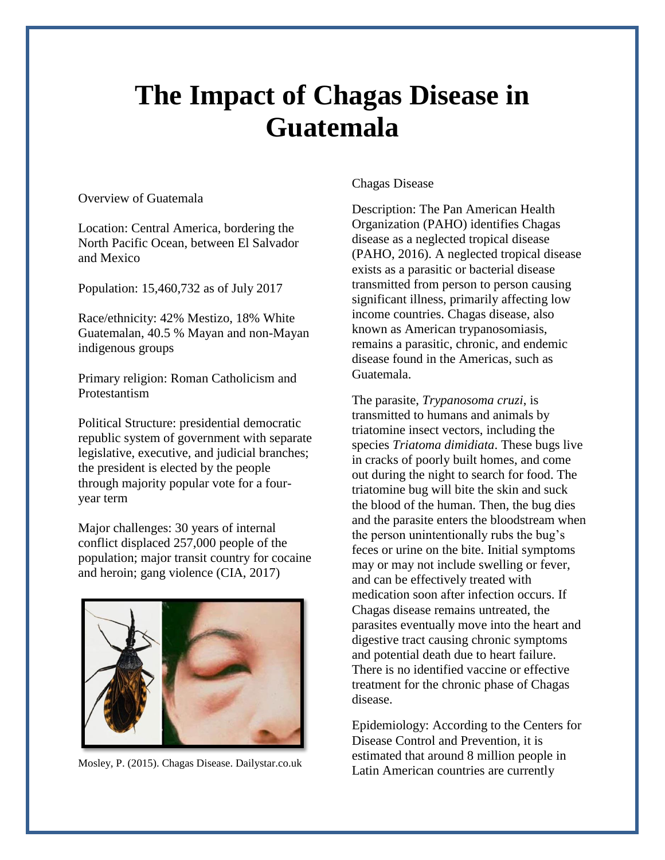# **The Impact of Chagas Disease in Guatemala**

Overview of Guatemala

Location: Central America, bordering the North Pacific Ocean, between El Salvador and Mexico

Population: 15,460,732 as of July 2017

Race/ethnicity: 42% Mestizo, 18% White Guatemalan, 40.5 % Mayan and non-Mayan indigenous groups

Primary religion: Roman Catholicism and Protestantism

Political Structure: presidential democratic republic system of government with separate legislative, executive, and judicial branches; the president is elected by the people through majority popular vote for a fouryear term

Major challenges: 30 years of internal conflict displaced 257,000 people of the population; major transit country for cocaine and heroin; gang violence (CIA, 2017)



Mosley, P. (2015). Chagas Disease. Dailystar.co.uk

### Chagas Disease

Description: The Pan American Health Organization (PAHO) identifies Chagas disease as a neglected tropical disease (PAHO, 2016). A neglected tropical disease exists as a parasitic or bacterial disease transmitted from person to person causing significant illness, primarily affecting low income countries. Chagas disease, also known as American trypanosomiasis, remains a parasitic, chronic, and endemic disease found in the Americas, such as Guatemala.

The parasite, *Trypanosoma cruzi*, is transmitted to humans and animals by triatomine insect vectors, including the species *Triatoma dimidiata*. These bugs live in cracks of poorly built homes, and come out during the night to search for food. The triatomine bug will bite the skin and suck the blood of the human. Then, the bug dies and the parasite enters the bloodstream when the person unintentionally rubs the bug's feces or urine on the bite. Initial symptoms may or may not include swelling or fever, and can be effectively treated with medication soon after infection occurs. If Chagas disease remains untreated, the parasites eventually move into the heart and digestive tract causing chronic symptoms and potential death due to heart failure. There is no identified vaccine or effective treatment for the chronic phase of Chagas disease.

Epidemiology: According to the Centers for Disease Control and Prevention, it is estimated that around 8 million people in Latin American countries are currently